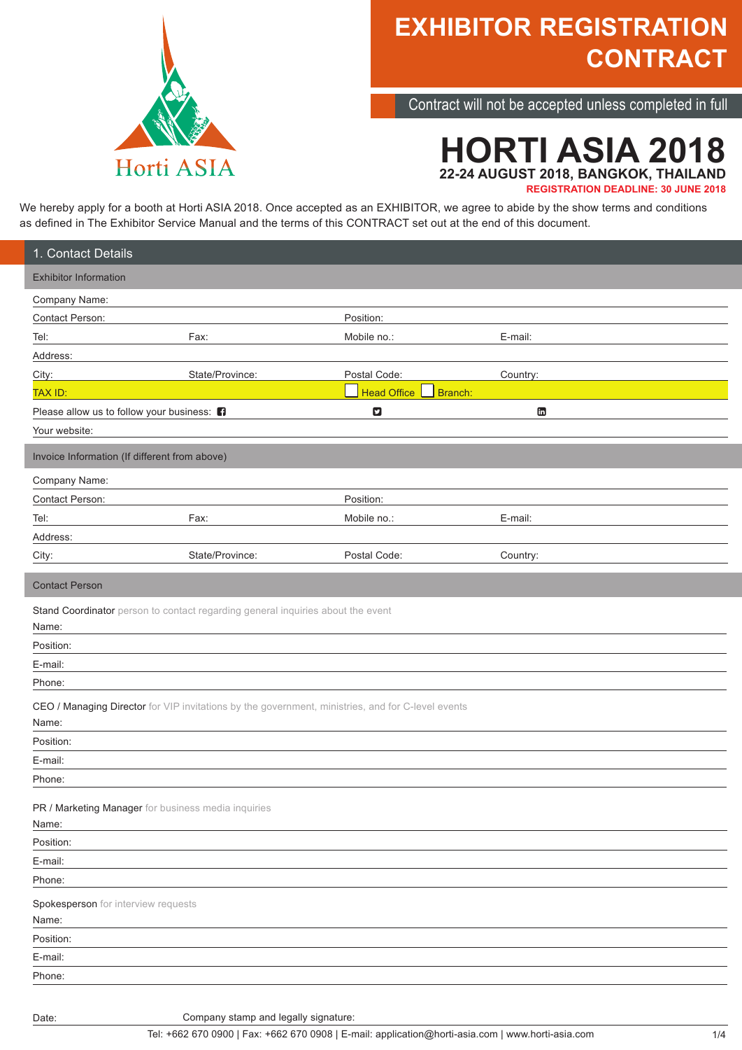

Contract will not be accepted unless completed in full

## **HORTI ASIA 2018 22-24 AUGUST 2018, BANGKOK, THAILAND REGISTRATION DEADLINE: 30 JUNE 2018**

We hereby apply for a booth at Horti ASIA 2018. Once accepted as an EXHIBITOR, we agree to abide by the show terms and conditions as defined in The Exhibitor Service Manual and the terms of this CONTRACT set out at the end of this document.

| 1. Contact Details                                  |                                                                                                   |                               |          |  |
|-----------------------------------------------------|---------------------------------------------------------------------------------------------------|-------------------------------|----------|--|
| <b>Exhibitor Information</b>                        |                                                                                                   |                               |          |  |
| Company Name:                                       |                                                                                                   |                               |          |  |
| Contact Person:                                     |                                                                                                   | Position:                     |          |  |
| Tel:                                                | Fax:                                                                                              | Mobile no.:                   | E-mail:  |  |
| Address:                                            |                                                                                                   |                               |          |  |
| City:                                               | State/Province:                                                                                   | Postal Code:                  | Country: |  |
| <b>TAX ID:</b>                                      |                                                                                                   | <b>Head Office</b><br>Branch: |          |  |
| Please allow us to follow your business: <b>n</b>   |                                                                                                   | $\mathbf{z}$                  | G        |  |
| Your website:                                       |                                                                                                   |                               |          |  |
| Invoice Information (If different from above)       |                                                                                                   |                               |          |  |
| Company Name:                                       |                                                                                                   |                               |          |  |
| Contact Person:                                     |                                                                                                   | Position:                     |          |  |
| Tel:                                                | Fax:                                                                                              | Mobile no.:                   | E-mail:  |  |
| Address:                                            |                                                                                                   |                               |          |  |
| City:                                               | State/Province:                                                                                   | Postal Code:                  | Country: |  |
| <b>Contact Person</b>                               |                                                                                                   |                               |          |  |
|                                                     | Stand Coordinator person to contact regarding general inquiries about the event                   |                               |          |  |
| Name:                                               |                                                                                                   |                               |          |  |
| Position:                                           |                                                                                                   |                               |          |  |
| E-mail:                                             |                                                                                                   |                               |          |  |
| Phone:                                              |                                                                                                   |                               |          |  |
|                                                     | CEO / Managing Director for VIP invitations by the government, ministries, and for C-level events |                               |          |  |
| Name:                                               |                                                                                                   |                               |          |  |
| Position:                                           |                                                                                                   |                               |          |  |
| E-mail:                                             |                                                                                                   |                               |          |  |
| Phone:                                              |                                                                                                   |                               |          |  |
| PR / Marketing Manager for business media inquiries |                                                                                                   |                               |          |  |
| Name:                                               |                                                                                                   |                               |          |  |
| Position:                                           |                                                                                                   |                               |          |  |
| E-mail:                                             |                                                                                                   |                               |          |  |
| Phone:                                              |                                                                                                   |                               |          |  |
| Spokesperson for interview requests<br>Name:        |                                                                                                   |                               |          |  |
| Position:                                           |                                                                                                   |                               |          |  |
| E-mail:                                             |                                                                                                   |                               |          |  |
|                                                     |                                                                                                   |                               |          |  |
| Phone:                                              |                                                                                                   |                               |          |  |

Company stamp and legally signature: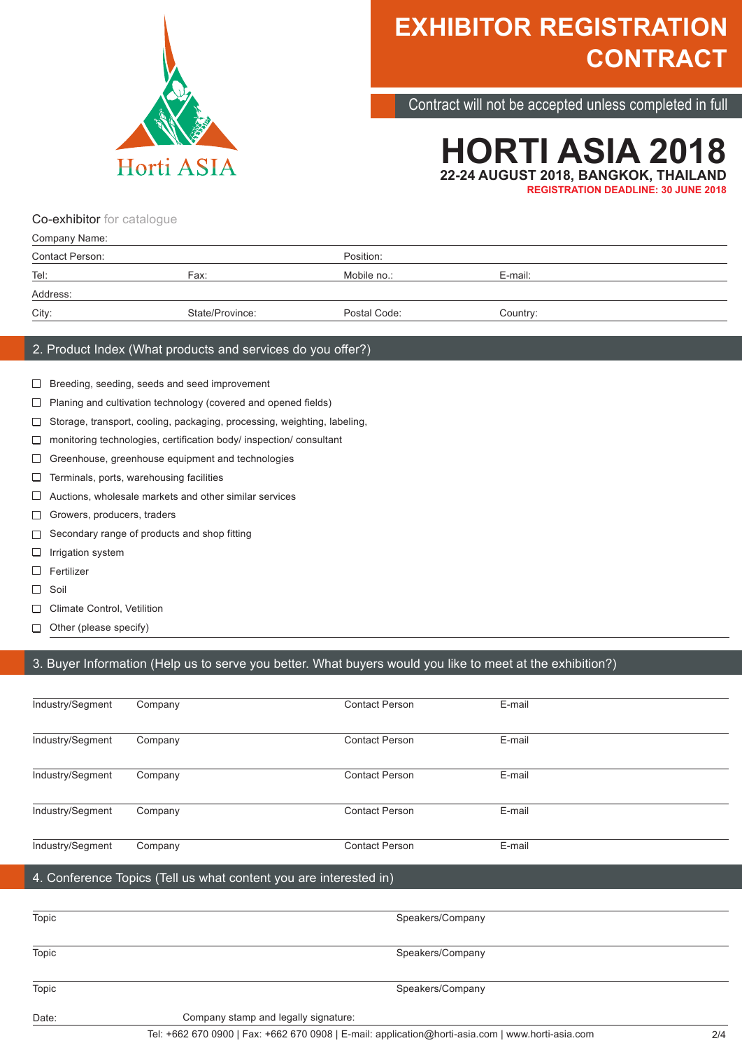

Contract will not be accepted unless completed in full

## **HORTI ASIA 2018 22-24 AUGUST 2018, BANGKOK, THAILAND REGISTRATION DEADLINE: 30 JUNE 2018**

Co-exhibitor for catalogue

| Company Name:   |                 |              |          |  |
|-----------------|-----------------|--------------|----------|--|
| Contact Person: |                 | Position:    |          |  |
| Tel:<br>Fax:    |                 | Mobile no.:  | E-mail:  |  |
| Address:        |                 |              |          |  |
| City:           | State/Province: | Postal Code: | Country: |  |

### 2. Product Index (What products and services do you offer?)

- Breeding, seeding, seeds and seed improvement
- $\Box$  Planing and cultivation technology (covered and opened fields)
- □ Storage, transport, cooling, packaging, processing, weighting, labeling,
- $\Box$  monitoring technologies, certification body/ inspection/ consultant
- Greenhouse, greenhouse equipment and technologies
- $\Box$ Terminals, ports, warehousing facilities
- $\Box$  Auctions, wholesale markets and other similar services
- Growers, producers, traders
- Secondary range of products and shop fitting
- $\Box$ Irrigation system
- □ Fertilizer
- $\Box$  Soil
- Climate Control, Vetilition
- Other (please specify)  $\Box$

### 3. Buyer Information (Help us to serve you better. What buyers would you like to meet at the exhibition?)

| Date:            | Company stamp and legally signature:<br>$\sim$ $\mu$ |                                                                   |        |  |
|------------------|------------------------------------------------------|-------------------------------------------------------------------|--------|--|
| Topic            |                                                      | Speakers/Company                                                  |        |  |
| Topic            | Speakers/Company                                     |                                                                   |        |  |
| Topic            |                                                      | Speakers/Company                                                  |        |  |
|                  |                                                      | 4. Conference Topics (Tell us what content you are interested in) |        |  |
| Industry/Segment | Company                                              | <b>Contact Person</b>                                             | E-mail |  |
| Industry/Segment | Company                                              | <b>Contact Person</b>                                             | E-mail |  |
| Industry/Segment | Company                                              | <b>Contact Person</b>                                             | E-mail |  |
| Industry/Segment | Company                                              | <b>Contact Person</b>                                             | E-mail |  |
| Industry/Segment | Company                                              | <b>Contact Person</b>                                             | E-mail |  |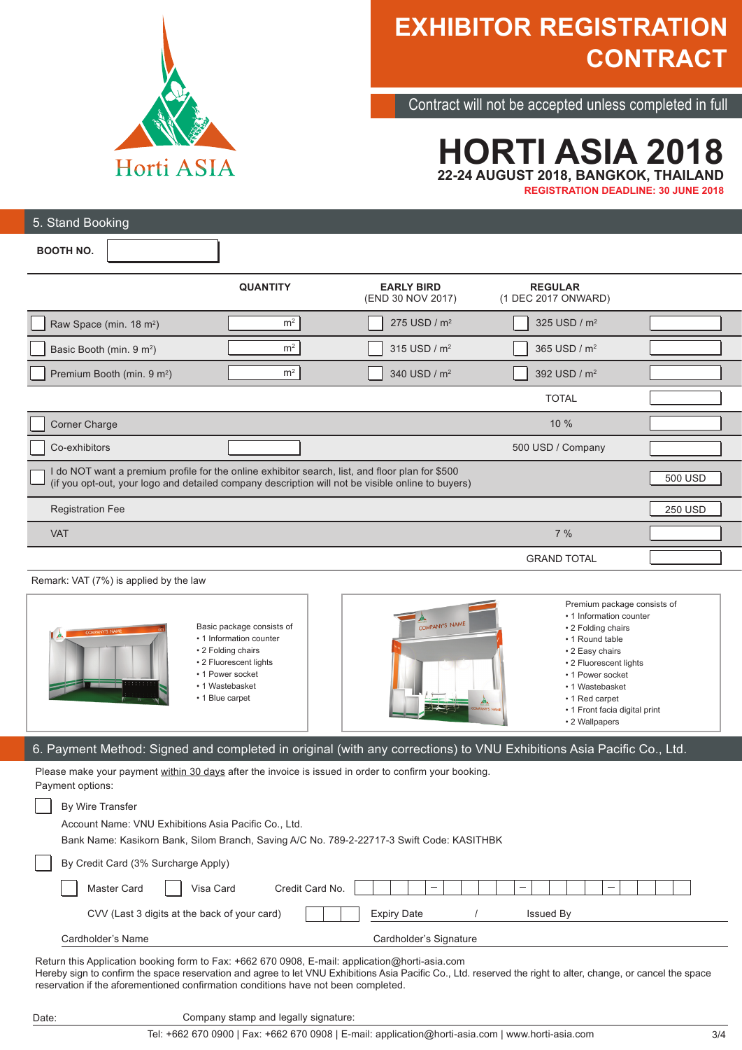

Contract will not be accepted unless completed in full

## **HORTI ASIA 2018 22-24 AUGUST 2018, BANGKOK, THAILAND REGISTRATION DEADLINE: 30 JUNE 2018**

| 5. Stand Booking                                                                                                                                                                                                |                 |                                        |                                       |                |
|-----------------------------------------------------------------------------------------------------------------------------------------------------------------------------------------------------------------|-----------------|----------------------------------------|---------------------------------------|----------------|
| <b>BOOTH NO.</b>                                                                                                                                                                                                |                 |                                        |                                       |                |
|                                                                                                                                                                                                                 | <b>QUANTITY</b> | <b>EARLY BIRD</b><br>(END 30 NOV 2017) | <b>REGULAR</b><br>(1 DEC 2017 ONWARD) |                |
| Raw Space (min. 18 m <sup>2</sup> )                                                                                                                                                                             | m <sup>2</sup>  | 275 USD / m <sup>2</sup>               | 325 USD / m <sup>2</sup>              |                |
| Basic Booth (min. 9 m <sup>2</sup> )                                                                                                                                                                            | m <sup>2</sup>  | 315 USD / m <sup>2</sup>               | 365 USD / m <sup>2</sup>              |                |
| Premium Booth (min. 9 m <sup>2</sup> )                                                                                                                                                                          | m <sup>2</sup>  | 340 USD / m <sup>2</sup>               | 392 USD / m <sup>2</sup>              |                |
|                                                                                                                                                                                                                 |                 |                                        | <b>TOTAL</b>                          |                |
| Corner Charge                                                                                                                                                                                                   |                 |                                        | 10 %                                  |                |
| Co-exhibitors                                                                                                                                                                                                   |                 |                                        | 500 USD / Company                     |                |
| I do NOT want a premium profile for the online exhibitor search, list, and floor plan for \$500<br>500 USD<br>(if you opt-out, your logo and detailed company description will not be visible online to buyers) |                 |                                        |                                       |                |
| <b>Registration Fee</b>                                                                                                                                                                                         |                 |                                        |                                       | <b>250 USD</b> |
| <b>VAT</b>                                                                                                                                                                                                      |                 |                                        | 7%                                    |                |
|                                                                                                                                                                                                                 |                 |                                        | <b>GRAND TOTAL</b>                    |                |

### Remark: VAT (7%) is applied by the law

Date:

| Basic package consists of<br>COMPANY'S NAME<br>• 1 Information counter<br>• 2 Folding chairs<br>• 2 Fluorescent lights<br>• 1 Power socket<br>.<br>.<br>• 1 Wastebasket<br>• 1 Blue carpet | COMPANY'S NAME<br><b>ANA</b><br><b>PANY'S NAW</b> | Premium package consists of<br>• 1 Information counter<br>• 2 Folding chairs<br>• 1 Round table<br>• 2 Easy chairs<br>• 2 Fluorescent lights<br>• 1 Power socket<br>• 1 Wastebasket<br>• 1 Red carpet<br>• 1 Front facia digital print<br>• 2 Wallpapers |
|--------------------------------------------------------------------------------------------------------------------------------------------------------------------------------------------|---------------------------------------------------|----------------------------------------------------------------------------------------------------------------------------------------------------------------------------------------------------------------------------------------------------------|
|--------------------------------------------------------------------------------------------------------------------------------------------------------------------------------------------|---------------------------------------------------|----------------------------------------------------------------------------------------------------------------------------------------------------------------------------------------------------------------------------------------------------------|

## 6. Payment Method: Signed and completed in original (with any corrections) to VNU Exhibitions Asia Pacific Co., Ltd.

Please make your payment within 30 days after the invoice is issued in order to confirm your booking. Payment options:

| By Wire Transfer                                                                               |                                                                                                                                                                                                                                                                                                                                      |
|------------------------------------------------------------------------------------------------|--------------------------------------------------------------------------------------------------------------------------------------------------------------------------------------------------------------------------------------------------------------------------------------------------------------------------------------|
| Account Name: VNU Exhibitions Asia Pacific Co., Ltd.                                           |                                                                                                                                                                                                                                                                                                                                      |
| Bank Name: Kasikorn Bank, Silom Branch, Saving A/C No. 789-2-22717-3 Swift Code: KASITHBK      |                                                                                                                                                                                                                                                                                                                                      |
| By Credit Card (3% Surcharge Apply)                                                            |                                                                                                                                                                                                                                                                                                                                      |
| Master Card<br>Visa Card<br>Credit Card No.                                                    |                                                                                                                                                                                                                                                                                                                                      |
| CVV (Last 3 digits at the back of your card)                                                   | <b>Expiry Date</b><br>Issued By                                                                                                                                                                                                                                                                                                      |
| Cardholder's Name                                                                              | Cardholder's Signature                                                                                                                                                                                                                                                                                                               |
| Return this Application booking form to Fax: +662 670 0908, E-mail: application@horti-asia.com | $\mathbf{H} = \mathbf{H} = \mathbf{H} = \mathbf{H} = \mathbf{H} = \mathbf{H} = \mathbf{H} = \mathbf{H}$ , and the set of $\mathbf{H} = \mathbf{H} = \mathbf{H}$ . It is the set of $\mathbf{H} = \mathbf{H}$ is the set of $\mathbf{H} = \mathbf{H}$ is the set of $\mathbf{H} = \mathbf{H}$ is the set of $\mathbf{H} = \mathbf{H}$ |

Hereby sign to confirm the space reservation and agree to let VNU Exhibitions Asia Pacific Co., Ltd. reserved the right to alter, change, or cancel the space reservation if the aforementioned confirmation conditions have not been completed.

Company stamp and legally signature: